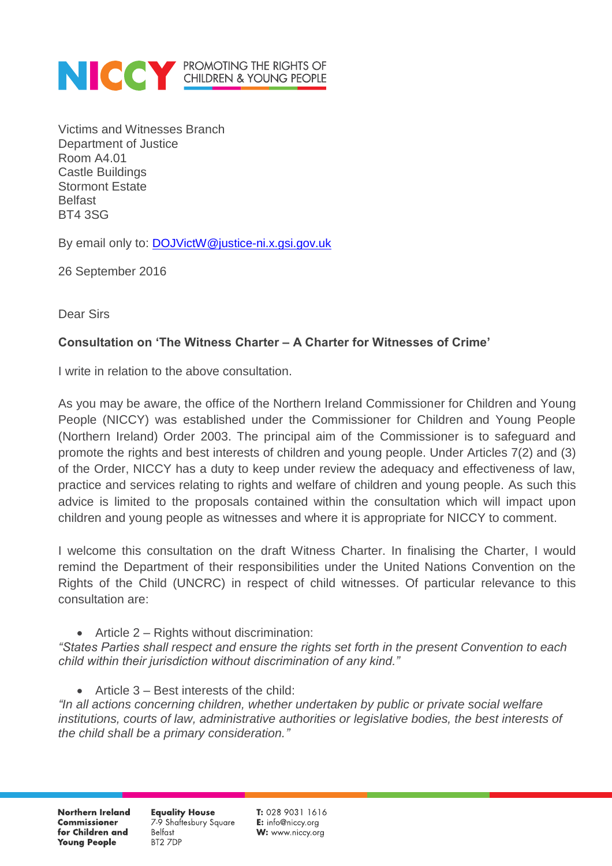

Victims and Witnesses Branch Department of Justice Room A4.01 Castle Buildings Stormont Estate **Belfast** BT4 3SG

By email only to: [DOJVictW@justice-ni.x.gsi.gov.uk](mailto:DOJVictW@justice-ni.x.gsi.gov.uk)

26 September 2016

Dear Sirs

## **Consultation on 'The Witness Charter – A Charter for Witnesses of Crime'**

I write in relation to the above consultation.

As you may be aware, the office of the Northern Ireland Commissioner for Children and Young People (NICCY) was established under the Commissioner for Children and Young People (Northern Ireland) Order 2003. The principal aim of the Commissioner is to safeguard and promote the rights and best interests of children and young people. Under Articles 7(2) and (3) of the Order, NICCY has a duty to keep under review the adequacy and effectiveness of law, practice and services relating to rights and welfare of children and young people. As such this advice is limited to the proposals contained within the consultation which will impact upon children and young people as witnesses and where it is appropriate for NICCY to comment.

I welcome this consultation on the draft Witness Charter. In finalising the Charter, I would remind the Department of their responsibilities under the United Nations Convention on the Rights of the Child (UNCRC) in respect of child witnesses. Of particular relevance to this consultation are:

## $\bullet$  Article 2 – Rights without discrimination:

*"States Parties shall respect and ensure the rights set forth in the present Convention to each child within their jurisdiction without discrimination of any kind."*

Article 3 – Best interests of the child:

*"In all actions concerning children, whether undertaken by public or private social welfare institutions, courts of law, administrative authorities or legislative bodies, the best interests of the child shall be a primary consideration."*

Northern Ireland **Commissioner** for Children and **Young People** 

**Equality House** 7-9 Shaftesbury Square **Belfast** BT2 7DP

 $T: 02890311616$ E: info@niccy.org W: www.niccy.org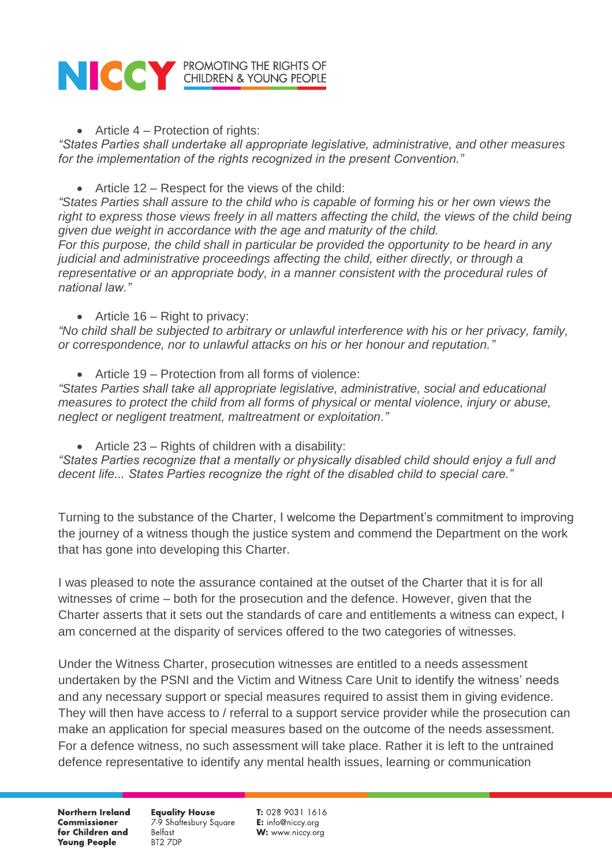

 $\bullet$  Article 4 – Protection of rights:

*"States Parties shall undertake all appropriate legislative, administrative, and other measures for the implementation of the rights recognized in the present Convention."*

Article 12 – Respect for the views of the child:

*"States Parties shall assure to the child who is capable of forming his or her own views the*  right to express those views freely in all matters affecting the child, the views of the child being *given due weight in accordance with the age and maturity of the child. For this purpose, the child shall in particular be provided the opportunity to be heard in any judicial and administrative proceedings affecting the child, either directly, or through a representative or an appropriate body, in a manner consistent with the procedural rules of national law."*

• Article  $16 -$  Right to privacy:

*"No child shall be subjected to arbitrary or unlawful interference with his or her privacy, family, or correspondence, nor to unlawful attacks on his or her honour and reputation."*

• Article 19 – Protection from all forms of violence:

*"States Parties shall take all appropriate legislative, administrative, social and educational measures to protect the child from all forms of physical or mental violence, injury or abuse, neglect or negligent treatment, maltreatment or exploitation."*

Article 23 – Rights of children with a disability:

*"States Parties recognize that a mentally or physically disabled child should enjoy a full and decent life... States Parties recognize the right of the disabled child to special care."*

Turning to the substance of the Charter, I welcome the Department's commitment to improving the journey of a witness though the justice system and commend the Department on the work that has gone into developing this Charter.

I was pleased to note the assurance contained at the outset of the Charter that it is for all witnesses of crime – both for the prosecution and the defence. However, given that the Charter asserts that it sets out the standards of care and entitlements a witness can expect, I am concerned at the disparity of services offered to the two categories of witnesses.

Under the Witness Charter, prosecution witnesses are entitled to a needs assessment undertaken by the PSNI and the Victim and Witness Care Unit to identify the witness' needs and any necessary support or special measures required to assist them in giving evidence. They will then have access to / referral to a support service provider while the prosecution can make an application for special measures based on the outcome of the needs assessment. For a defence witness, no such assessment will take place. Rather it is left to the untrained defence representative to identify any mental health issues, learning or communication

**Northern Ireland Commissioner** for Children and **Young People** 

**Equality House** 7-9 Shaftesbury Square **Belfast** BT2 7DP

 $T: 02890311616$ E: info@niccy.org W: www.niccy.org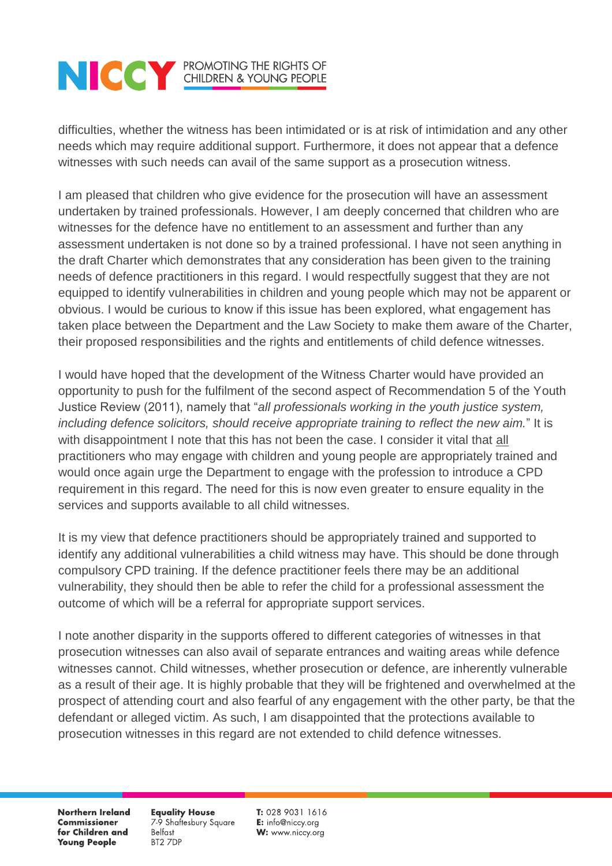## **NOCK PROMOTING THE RIGHTS OF CHILDREN & YOUNG PEOPLE**

difficulties, whether the witness has been intimidated or is at risk of intimidation and any other needs which may require additional support. Furthermore, it does not appear that a defence witnesses with such needs can avail of the same support as a prosecution witness.

I am pleased that children who give evidence for the prosecution will have an assessment undertaken by trained professionals. However, I am deeply concerned that children who are witnesses for the defence have no entitlement to an assessment and further than any assessment undertaken is not done so by a trained professional. I have not seen anything in the draft Charter which demonstrates that any consideration has been given to the training needs of defence practitioners in this regard. I would respectfully suggest that they are not equipped to identify vulnerabilities in children and young people which may not be apparent or obvious. I would be curious to know if this issue has been explored, what engagement has taken place between the Department and the Law Society to make them aware of the Charter, their proposed responsibilities and the rights and entitlements of child defence witnesses.

I would have hoped that the development of the Witness Charter would have provided an opportunity to push for the fulfilment of the second aspect of Recommendation 5 of the Youth Justice Review (2011), namely that "*all professionals working in the youth justice system, including defence solicitors, should receive appropriate training to reflect the new aim.*" It is with disappointment I note that this has not been the case. I consider it vital that all practitioners who may engage with children and young people are appropriately trained and would once again urge the Department to engage with the profession to introduce a CPD requirement in this regard. The need for this is now even greater to ensure equality in the services and supports available to all child witnesses.

It is my view that defence practitioners should be appropriately trained and supported to identify any additional vulnerabilities a child witness may have. This should be done through compulsory CPD training. If the defence practitioner feels there may be an additional vulnerability, they should then be able to refer the child for a professional assessment the outcome of which will be a referral for appropriate support services.

I note another disparity in the supports offered to different categories of witnesses in that prosecution witnesses can also avail of separate entrances and waiting areas while defence witnesses cannot. Child witnesses, whether prosecution or defence, are inherently vulnerable as a result of their age. It is highly probable that they will be frightened and overwhelmed at the prospect of attending court and also fearful of any engagement with the other party, be that the defendant or alleged victim. As such, I am disappointed that the protections available to prosecution witnesses in this regard are not extended to child defence witnesses.

**Northern Ireland Commissioner** for Children and **Young People** 

**Equality House** 7-9 Shaftesbury Square **Belfast** BT2 7DP

T: 028 9031 1616 E: info@niccy.org W: www.niccy.org